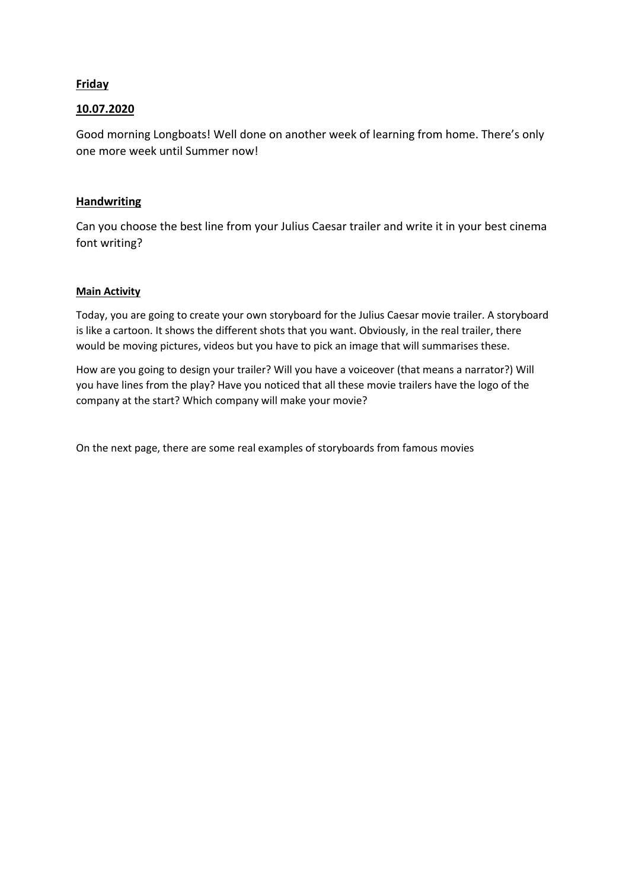## **Friday**

## 10.07.2020

Good morning Longboats! Well done on another week of learning from home. There's only one more week until Summer now!

## **Handwriting**

Can you choose the best line from your Julius Caesar trailer and write it in your best cinema font writing?

## Main Activity

Today, you are going to create your own storyboard for the Julius Caesar movie trailer. A storyboard is like a cartoon. It shows the different shots that you want. Obviously, in the real trailer, there would be moving pictures, videos but you have to pick an image that will summarises these.

How are you going to design your trailer? Will you have a voiceover (that means a narrator?) Will you have lines from the play? Have you noticed that all these movie trailers have the logo of the company at the start? Which company will make your movie?

On the next page, there are some real examples of storyboards from famous movies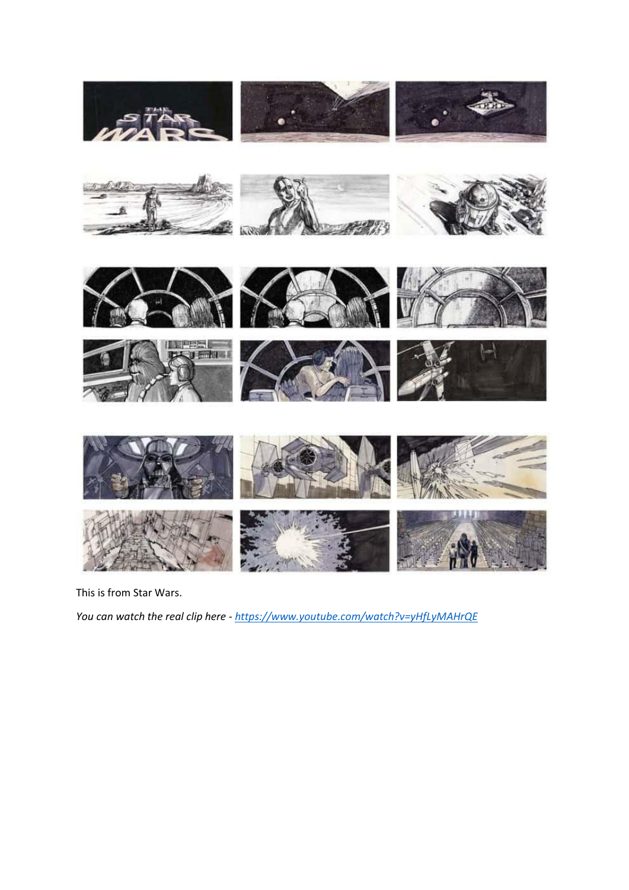

This is from Star Wars.

*You can watch the real clip here - https://www.youtube.com/watch?v=yHfLyMAHrQE*